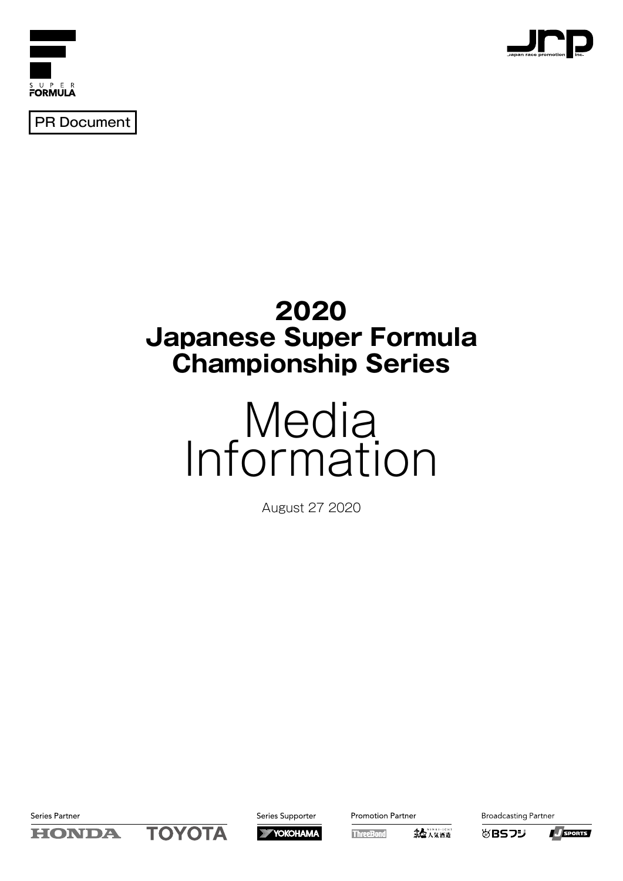



PR Document

## **2020 Japanese Super Formula Championship Series**

# Media Information

August 27 2020

Series Partner





**Promotion Partner** 

第七八気酒造 **ThreeBond** 

**Broadcasting Partner** 

**必BSフジ** 

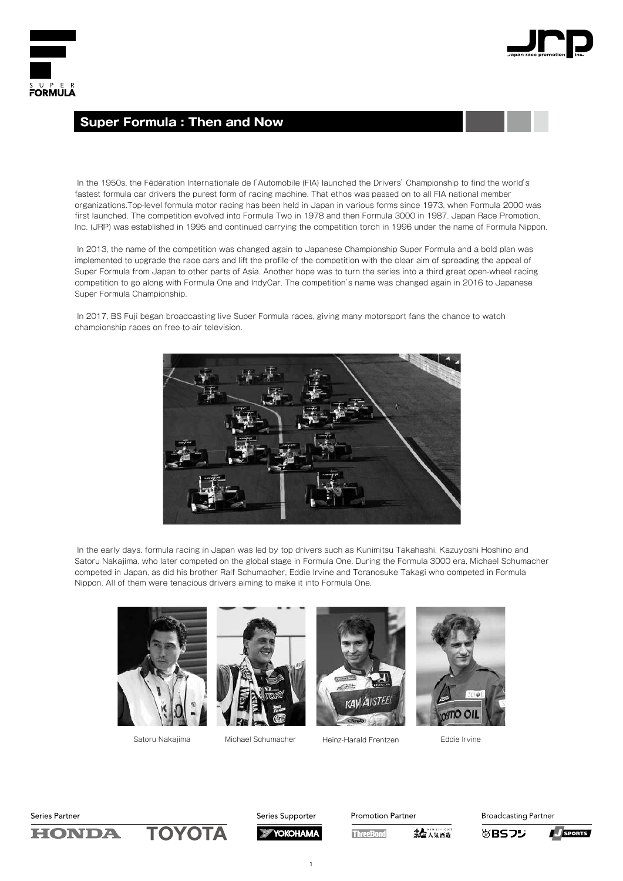



#### **Super Formula : Then and Now**

 In the 1950s, the Fédération Internationale de I'Automobile (FIA) launched the Drivers' Championship to find the world's fastest formula car drivers the purest form of racing machine. That ethos was passed on to all FIA national member organizations.Top-level formula motor racing has been held in Japan in various forms since 1973, when Formula 2000 was first launched. The competition evolved into Formula Two in 1978 and then Formula 3000 in 1987. Japan Race Promotion, Inc. (JRP) was established in 1995 and continued carrying the competition torch in 1996 under the name of Formula Nippon.

 In 2013, the name of the competition was changed again to Japanese Championship Super Formula and a bold plan was implemented to upgrade the race cars and lift the profile of the competition with the clear aim of spreading the appeal of Super Formula from Japan to other parts of Asia. Another hope was to turn the series into a third great open-wheel racing competition to go along with Formula One and IndyCar. The competition's name was changed again in 2016 to Japanese Super Formula Championship.

 In 2017, BS Fuji began broadcasting live Super Formula races, giving many motorsport fans the chance to watch championship races on free-to-air television.



 In the early days, formula racing in Japan was led by top drivers such as Kunimitsu Takahashi, Kazuyoshi Hoshino and Satoru Nakajima, who later competed on the global stage in Formula One. During the Formula 3000 era, Michael Schumacher competed in Japan, as did his brother Ralf Schumacher, Eddie Irvine and Toranosuke Takagi who competed in Formula Nippon. All of them were tenacious drivers aiming to make it into Formula One.







Satoru Nakajima Michael Schumacher Heinz-Harald Frentzen Eddie Irvine





ΤΟΥΟΤΑ **HONDA** 



**Promotion Partner** 

**ThreeBond** 

第七八気酒造

**Broadcasting Partner** 

めBSフジ



1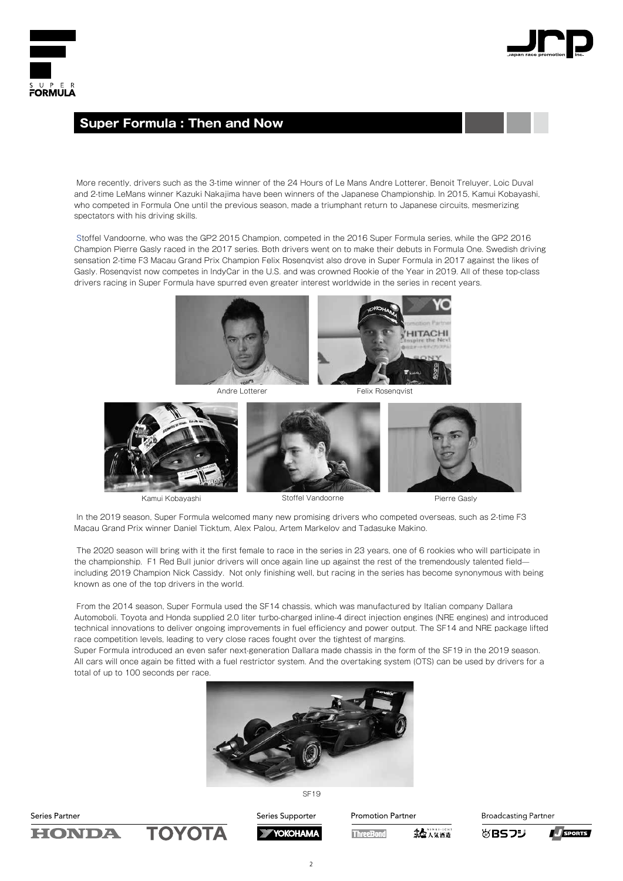



#### **Super Formula : Then and Now**

 More recently, drivers such as the 3-time winner of the 24 Hours of Le Mans Andre Lotterer, Benoit Treluyer, Loic Duval and 2-time LeMans winner Kazuki Nakajima have been winners of the Japanese Championship. In 2015, Kamui Kobayashi, who competed in Formula One until the previous season, made a triumphant return to Japanese circuits, mesmerizing spectators with his driving skills.

 Stoffel Vandoorne, who was the GP2 2015 Champion, competed in the 2016 Super Formula series, while the GP2 2016 Champion Pierre Gasly raced in the 2017 series. Both drivers went on to make their debuts in Formula One. Swedish driving sensation 2-time F3 Macau Grand Prix Champion Felix Rosenqvist also drove in Super Formula in 2017 against the likes of Gasly. Rosenqvist now competes in IndyCar in the U.S. and was crowned Rookie of the Year in 2019. All of these top-class drivers racing in Super Formula have spurred even greater interest worldwide in the series in recent years.





Kamui Kobayashi Stoffel Vandoorne Pierre Gasly

 In the 2019 season, Super Formula welcomed many new promising drivers who competed overseas, such as 2-time F3 Macau Grand Prix winner Daniel Ticktum, Alex Palou, Artem Markelov and Tadasuke Makino.

 The 2020 season will bring with it the first female to race in the series in 23 years, one of 6 rookies who will participate in the championship. F1 Red Bull junior drivers will once again line up against the rest of the tremendously talented fieldincluding 2019 Champion Nick Cassidy. Not only finishing well, but racing in the series has become synonymous with being known as one of the top drivers in the world.

 From the 2014 season, Super Formula used the SF14 chassis, which was manufactured by Italian company Dallara Automoboli. Toyota and Honda supplied 2.0 liter turbo-charged inline-4 direct injection engines (NRE engines) and introduced technical innovations to deliver ongoing improvements in fuel efficiency and power output. The SF14 and NRE package lifted race competition levels, leading to very close races fought over the tightest of margins.

Super Formula introduced an even safer next-generation Dallara made chassis in the form of the SF19 in the 2019 season. All cars will once again be fitted with a fuel restrictor system. And the overtaking system (OTS) can be used by drivers for a total of up to 100 seconds per race.



Series Partner ΤΟΥΟΤΑ **HONDA** 

Series Supporter YOKOHAMA **Promotion Partner** 

**ThreeBond** 第七八年通道 **Broadcasting Partner** 

めBSフジ

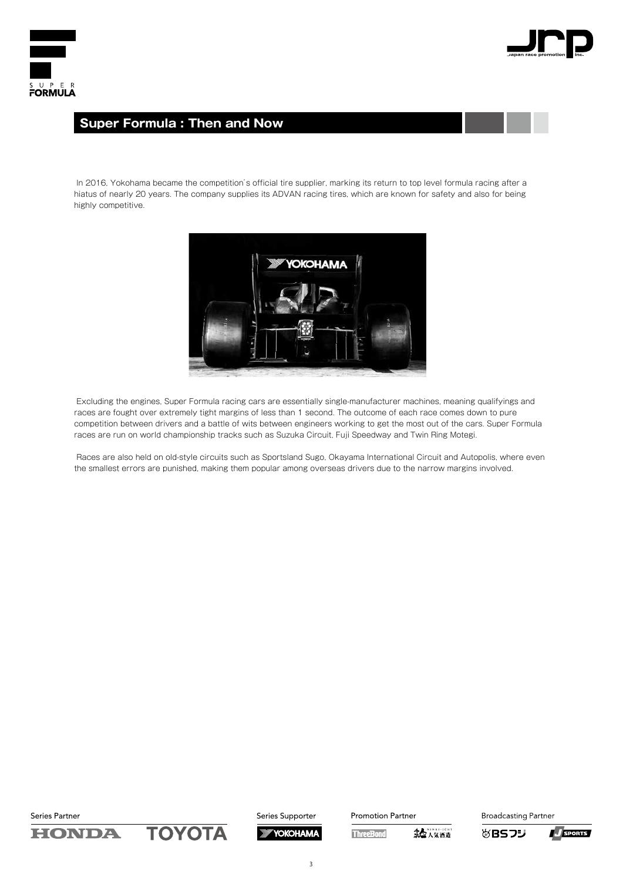



## **Super Formula : Then and Now**

 In 2016, Yokohama became the competition's official tire supplier, marking its return to top level formula racing after a hiatus of nearly 20 years. The company supplies its ADVAN racing tires, which are known for safety and also for being highly competitive.



 Excluding the engines, Super Formula racing cars are essentially single-manufacturer machines, meaning qualifyings and races are fought over extremely tight margins of less than 1 second. The outcome of each race comes down to pure competition between drivers and a battle of wits between engineers working to get the most out of the cars. Super Formula races are run on world championship tracks such as Suzuka Circuit, Fuji Speedway and Twin Ring Motegi.

Races are also held on old-style circuits such as Sportsland Sugo, Okayama International Circuit and Autopolis, where even the smallest errors are punished, making them popular among overseas drivers due to the narrow margins involved.

Series Partner

**TOYOTA HONDA** 



**Promotion Partner** 

54人気洒造 **ThreeBond** 





3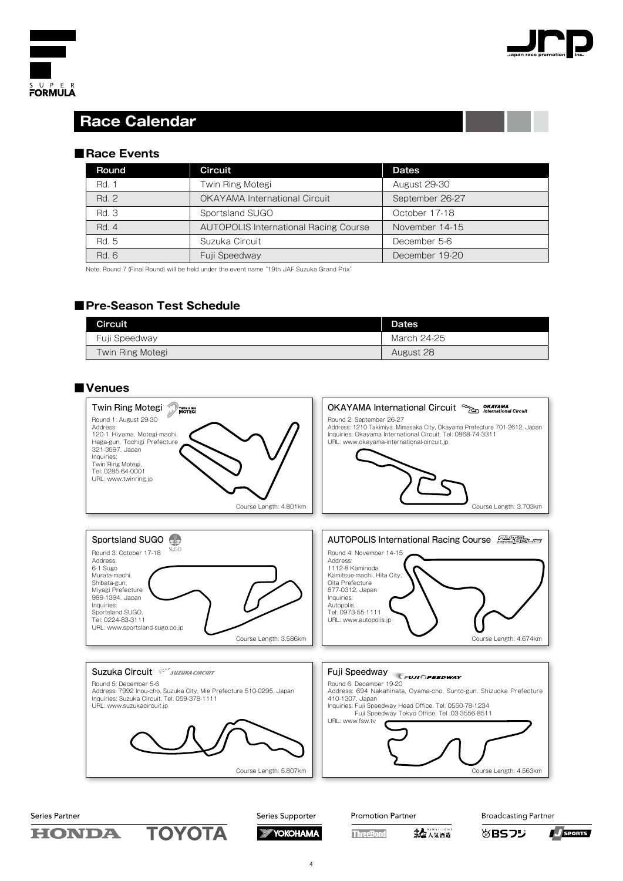



## **Race Calendar**

#### ■Race Events

| Round | Circuit                                      | <b>Dates</b>        |
|-------|----------------------------------------------|---------------------|
| Rd. 1 | Twin Ring Motegi                             | <b>August 29-30</b> |
| Rd. 2 | <b>OKAYAMA International Circuit</b>         | September 26-27     |
| Rd. 3 | Sportsland SUGO                              | October 17-18       |
| Rd. 4 | <b>AUTOPOLIS International Racing Course</b> | November 14-15      |
| Rd. 5 | Suzuka Circuit                               | December 5-6        |
| Rd. 6 | Fuji Speedway                                | December 19-20      |

Note: Round 7 (Final Round) will be held under the event name "19th JAF Suzuka Grand Prix"

#### **■Pre-Season Test Schedule**

| Circuit          | <b>Dates</b> |
|------------------|--------------|
| Fuji Speedway    | March 24-25  |
| Twin Ring Motegi | August 28    |

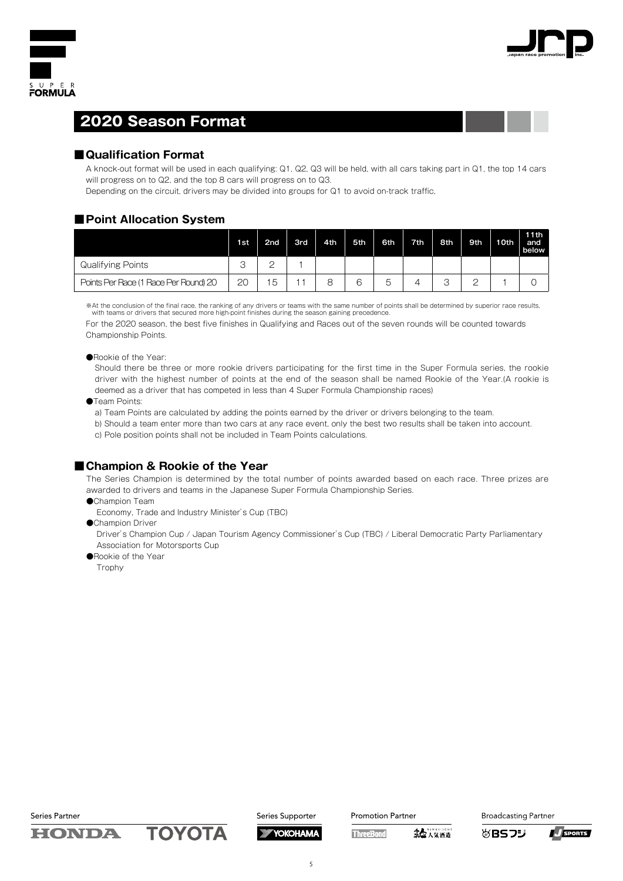



## **2020 Season Format**

#### ■ Qualification Format

A knock-out format will be used in each qualifying: Q1, Q2, Q3 will be held, with all cars taking part in Q1, the top 14 cars will progress on to Q2, and the top 8 cars will progress on to Q3.

Depending on the circuit, drivers may be divided into groups for Q1 to avoid on-track traffic,

#### ■Point Allocation System

|                                       | 1st    | 2 <sub>nd</sub> | <b>3rd</b> | 4th | 5th | 6th | 7th. | 8th | 9th | 10th | 11th<br>and<br>below |
|---------------------------------------|--------|-----------------|------------|-----|-----|-----|------|-----|-----|------|----------------------|
| Qualifying Points                     | ◠<br>U |                 |            |     |     |     |      |     |     |      |                      |
| Points Per Race (1 Race Per Round) 20 | 20     | 5               |            | R   | R   | ь   |      | ت   |     |      |                      |

※At the conclusion of the final race, the ranking of any drivers or teams with the same number of points shall be determined by superior race results, with teams or drivers that secured more high-point finishes during the season gaining precedence.

For the 2020 season, the best five finishes in Qualifying and Races out of the seven rounds will be counted towards Championship Points.

#### ●Rookie of the Year:

Should there be three or more rookie drivers participating for the first time in the Super Formula series, the rookie driver with the highest number of points at the end of the season shall be named Rookie of the Year.(A rookie is deemed as a driver that has competed in less than 4 Super Formula Championship races)

●Team Points:

a) Team Points are calculated by adding the points earned by the driver or drivers belonging to the team.

b) Should a team enter more than two cars at any race event, only the best two results shall be taken into account. c) Pole position points shall not be included in Team Points calculations.

#### ■ Champion & Rookie of the Year

The Series Champion is determined by the total number of points awarded based on each race. Three prizes are awarded to drivers and teams in the Japanese Super Formula Championship Series.

- ●Champion Team
- Economy, Trade and Industry Minister's Cup (TBC)
- ●Champion Driver

Driver's Champion Cup / Japan Tourism Agency Commissioner's Cup (TBC) / Liberal Democratic Party Parliamentary Association for Motorsports Cup

●Rookie of the Year

Trophy

Series Partner

**HONDA** 

ΤΟΥΟΤΑ



YOKOHAMA

**Promotion Partner** 

**ThreeBond** 第七八氢酒造



めBSフジ

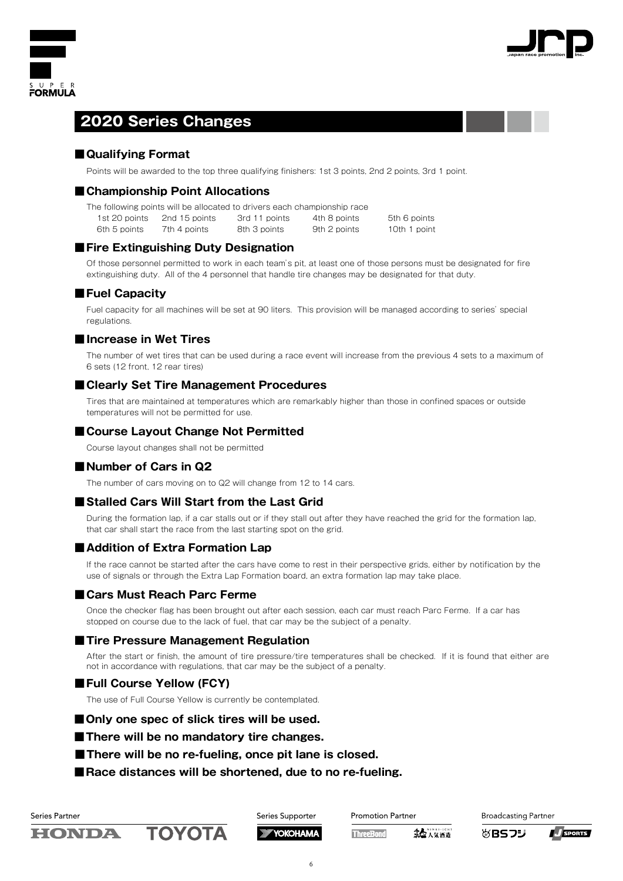



## **2020 Series Changes**

#### ■ **Qualifying Format**

Points will be awarded to the top three qualifying finishers: 1st 3 points, 2nd 2 points, 3rd 1 point.

#### ■ Championship Point Allocations

|  |  |  |  | The following points will be allocated to drivers each championship race |  |
|--|--|--|--|--------------------------------------------------------------------------|--|
|  |  |  |  |                                                                          |  |

1st 20 points 2nd 15 points 3rd 11 points 4th 8 points 5th 6 points

6th 5 points 7th 4 points 8th 3 points 9th 2 points 10th 1 point

#### **■Fire Extinguishing Duty Designation**

Of those personnel permitted to work in each team's pit, at least one of those persons must be designated for fire extinguishing duty. All of the 4 personnel that handle tire changes may be designated for that duty.

#### **■Fuel Capacity**

Fuel capacity for all machines will be set at 90 liters. This provision will be managed according to series' special regulations.

#### **■Increase in Wet Tires**

The number of wet tires that can be used during a race event will increase from the previous 4 sets to a maximum of 6 sets (12 front, 12 rear tires)

#### **■Clearly Set Tire Management Procedures**

Tires that are maintained at temperatures which are remarkably higher than those in confined spaces or outside temperatures will not be permitted for use.

#### ■ Course Layout Change Not Permitted

Course layout changes shall not be permitted

#### ■Number of Cars in Q<sub>2</sub>

The number of cars moving on to Q2 will change from 12 to 14 cars.

#### ■ Stalled Cars Will Start from the Last Grid

During the formation lap, if a car stalls out or if they stall out after they have reached the grid for the formation lap, that car shall start the race from the last starting spot on the grid.

#### ■ Addition of Extra Formation Lap

If the race cannot be started after the cars have come to rest in their perspective grids, either by notification by the use of signals or through the Extra Lap Formation board, an extra formation lap may take place.

#### ■ Cars Must Reach Parc Ferme

Once the checker flag has been brought out after each session, each car must reach Parc Ferme. If a car has stopped on course due to the lack of fuel, that car may be the subject of a penalty.

#### **■Tire Pressure Management Regulation**

After the start or finish, the amount of tire pressure/tire temperatures shall be checked. If it is found that either are not in accordance with regulations, that car may be the subject of a penalty.

#### **■Full Course Yellow (FCY)**

The use of Full Course Yellow is currently be contemplated.

#### ■ Only one spec of slick tires will be used.

■There will be no mandatory tire changes.

- There will be no re-fueling, once pit lane is closed.
- ■Race distances will be shortened, due to no re-fueling.



HONDA

ΤΟΥΟΤΑ

Series Supporter **YOKOHAMA**  **Promotion Partner** 

**ThreeBond** 

第七八気酒造

**Broadcasting Partner** 

めBSフジ

**J** SPORTS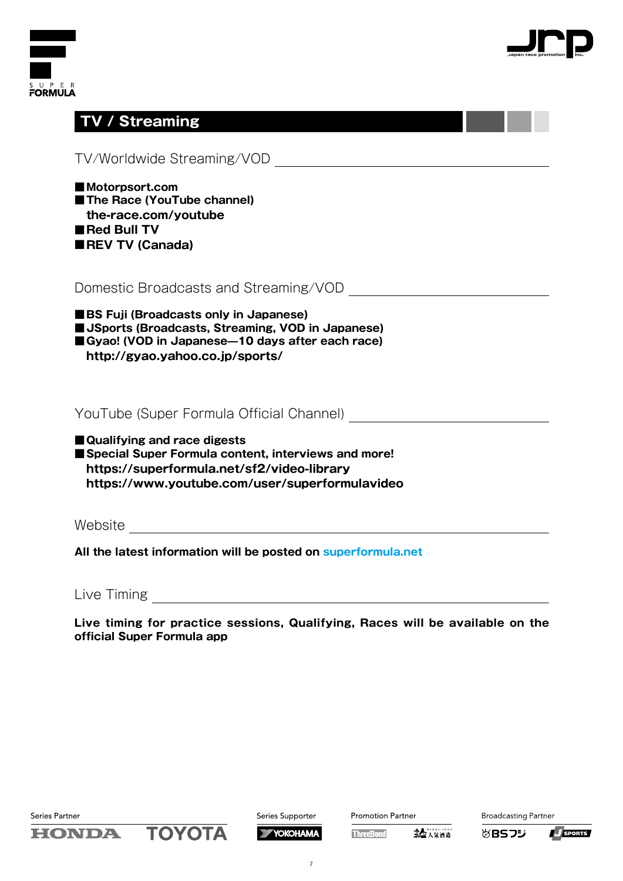



|  | / Streamin |  |
|--|------------|--|
|  |            |  |
|  |            |  |

| TV/Worldwide Streaming/VOD                                                                                                                                                             |
|----------------------------------------------------------------------------------------------------------------------------------------------------------------------------------------|
| Motorpsort.com<br>The Race (YouTube channel)<br>the-race.com/youtube<br>Red Bull TV<br><b>REV TV (Canada)</b>                                                                          |
| Domestic Broadcasts and Streaming/VOD                                                                                                                                                  |
| <b>BS Fuji (Broadcasts only in Japanese)</b><br><b>Jackboon Space Streems</b> , VOD in Japanese)<br>Gyao! (VOD in Japanese-10 days after each race)<br>http://gyao.yahoo.co.jp/sports/ |
| YouTube (Super Formula Official Channel)                                                                                                                                               |
| ■ Qualifying and race digests<br>Special Super Formula content, interviews and more!<br>https://superformula.net/sf2/video-library<br>https://www.youtube.com/user/superformulavideo   |
|                                                                                                                                                                                        |
| All the latest information will be posted on superformula.net                                                                                                                          |

Live Timing

**Live timing for practice sessions, Qualifying, Races will be available on the official Super Formula app**



Promotion Partner

**ThreeBond** 第七 人気洒造



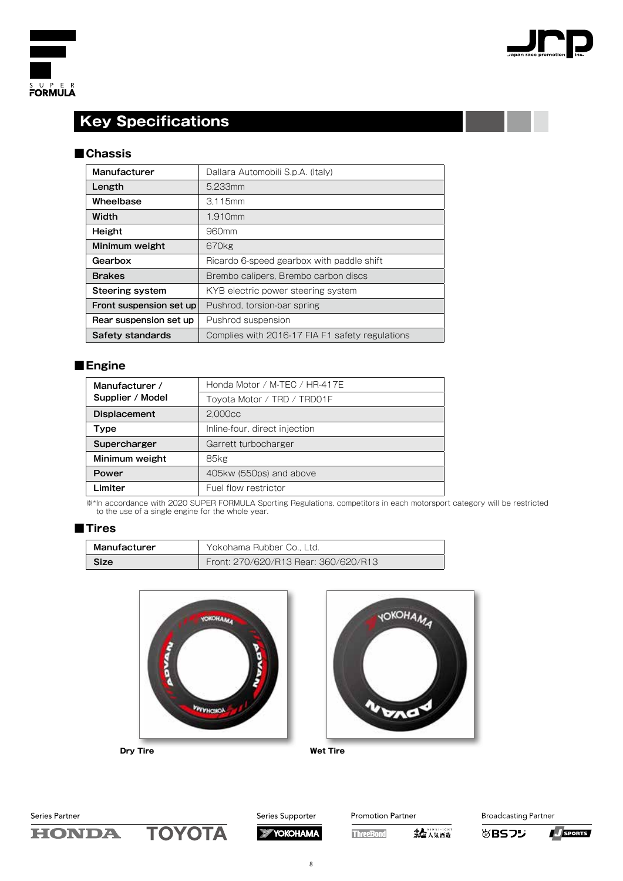



## **Key Specifications**

#### **■Chassis**

| Manufacturer            | Dallara Automobili S.p.A. (Italy)               |
|-------------------------|-------------------------------------------------|
| Length                  | 5.233mm                                         |
| Wheelbase               | 3.115mm                                         |
| Width                   | 1.910mm                                         |
| Height                  | 960mm                                           |
| Minimum weight          | 670kg                                           |
| Gearbox                 | Ricardo 6-speed gearbox with paddle shift       |
| <b>Brakes</b>           | Brembo calipers, Brembo carbon discs            |
| Steering system         | KYB electric power steering system              |
| Front suspension set up | Pushrod, torsion-bar spring                     |
| Rear suspension set up  | Pushrod suspension                              |
| Safety standards        | Complies with 2016-17 FIA F1 safety regulations |

#### **■Engine**

| Manufacturer /      | Honda Motor / M-TEC / HR-417E |
|---------------------|-------------------------------|
| Supplier / Model    | Toyota Motor / TRD / TRD01F   |
| <b>Displacement</b> | 2.000cc                       |
| Type                | Inline-four, direct injection |
| Supercharger        | Garrett turbocharger          |
| Minimum weight      | 85kg                          |
| Power               | 405kw (550ps) and above       |
| Limiter             | Fuel flow restrictor          |

※\*In accordance with 2020 SUPER FORMULA Sporting Regulations, competitors in each motorsport category will be restricted to the use of a single engine for the whole year.

#### **■Tires**

| Manufacturer | Yokohama Rubber Co., Ltd.            |
|--------------|--------------------------------------|
| Size         | Front: 270/620/R13 Rear: 360/620/R13 |









Promotion Partner

**ThreeBond** 

第七人気酒造

**Broadcasting Partner VBSフジ** 

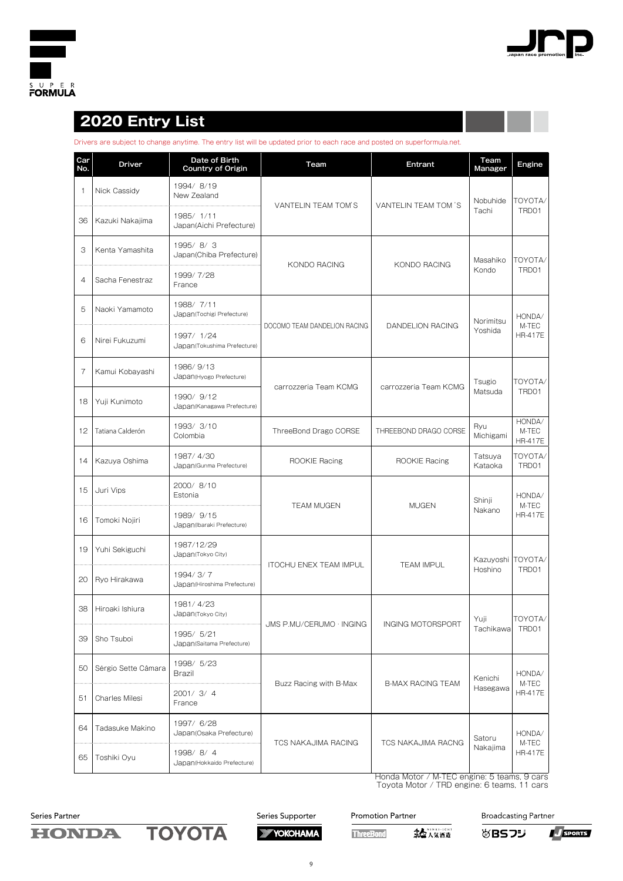



## **2020 Entry List**

Drivers are subject to change anytime. The entry list will be updated prior to each race and posted on superformula.net.

| Car<br>No.     | Driver              | Date of Birth<br><b>Country of Origin</b> | Team                          | Entrant                  | Team<br>Manager    | Engine                            |
|----------------|---------------------|-------------------------------------------|-------------------------------|--------------------------|--------------------|-----------------------------------|
| $\overline{1}$ | Nick Cassidy        | 1994/8/19<br>New Zealand                  | VANTELIN TEAM TOM'S           | VANTELIN TEAM TOM 'S     | Nobuhide           | TOYOTA/                           |
| 36             | Kazuki Nakajima     | 1985/1/11<br>Japan(Aichi Prefecture)      |                               |                          | Tachi              | TRD01                             |
| З              | Kenta Yamashita     | 1995/8/3<br>Japan(Chiba Prefecture)       |                               |                          | Masahiko           | TOYOTA/                           |
| $\overline{4}$ | Sacha Fenestraz     | 1999/7/28<br>France                       | KONDO RACING                  | KONDO RACING             | Kondo              | TRD01                             |
| 5              | Naoki Yamamoto      | 1988/ 7/11<br>Japan(Tochigi Prefecture)   |                               |                          | Norimitsu          | HONDA/                            |
| 6              | Nirei Fukuzumi      | 1997/ 1/24<br>Japan(Tokushima Prefecture) | DOCOMO TEAM DANDELION RACING  | DANDELION RACING         | Yoshida            | M-TEC<br><b>HR-417E</b>           |
| 7              | Kamui Kobayashi     | 1986/9/13<br>Japan (Hyogo Prefecture)     |                               |                          | Tsugio             | TOYOTA/                           |
| 18             | Yuji Kunimoto       | 1990/ 9/12<br>Japan (Kanagawa Prefecture) | carrozzeria Team KCMG         | carrozzeria Team KCMG    | Matsuda            | TRD01                             |
| 12             | Tatiana Calderón    | 1993/3/10<br>Colombia                     | ThreeBond Drago CORSE         | THREEBOND DRAGO CORSE    | Ryu<br>Michigami   | HONDA/<br>M-TEC<br><b>HR-417E</b> |
| 14             | Kazuya Oshima       | 1987/4/30<br>Japan(Gunma Prefecture)      | ROOKIE Racing                 | ROOKIE Racing            | Tatsuya<br>Kataoka | TOYOTA/<br>TRD01                  |
| 15             | Juri Vips           | 2000/8/10<br>Estonia                      |                               | <b>MUGEN</b>             | Shinji             | HONDA/                            |
| 16             | Tomoki Nojiri       | 1989/ 9/15<br>Japan(Ibaraki Prefecture)   | <b>TEAM MUGEN</b>             |                          | Nakano             | M-TEC<br><b>HR-417E</b>           |
| 19             | Yuhi Sekiguchi      | 1987/12/29<br>Japan(Tokyo City)           |                               |                          | Kazuyoshi TOYOTA/  |                                   |
| 20             | Ryo Hirakawa        | 1994/3/7<br>Japan (Hiroshima Prefecture)  | <b>ITOCHU ENEX TEAM IMPUL</b> | <b>TEAM IMPUL</b>        | Hoshino            | TRD01                             |
| 38             | Hiroaki Ishiura     | 1981/4/23<br>Japan(Tokyo City)            |                               |                          | Yuji               | TOYOTA/                           |
| 39             | Sho Tsuboi          | 1995/ 5/21<br>Japan(Saitama Prefecture)   | JMS P.MU/CERUMO · INGING      | INGING MOTORSPORT        | Tachikawa          | TRD01                             |
| 50             | Sérgio Sette Câmara | 1998/ 5/23<br>Brazil                      |                               |                          | Kenichi            | HONDA/                            |
| 51             | Charles Milesi      | 2001/3/4<br>France                        | Buzz Racing with B-Max        | <b>B-MAX RACING TEAM</b> | Hasegawa           | M-TEC<br><b>HR-417E</b>           |
| 64             | Tadasuke Makino     | 1997/ 6/28<br>Japan(Osaka Prefecture)     | <b>TCS NAKAJIMA RACING</b>    | TCS NAKAJIMA RACNG       | Satoru             | HONDA/<br>M-TEC<br><b>HR-417E</b> |
| 65             | Toshiki Oyu         | 1998/8/4<br>Japan (Hokkaido Prefecture)   |                               |                          | Nakajima           |                                   |

Honda Motor / M-TEC engine: 5 teams, 9 cars Toyota Motor / TRD engine: 6 teams, 11 cars

Series Partner

**HONDA** 





**Promotion Partner** 

**ThreeBond** 

**Broadcasting Partner** 

**VBSフジ** 

34人気洒造

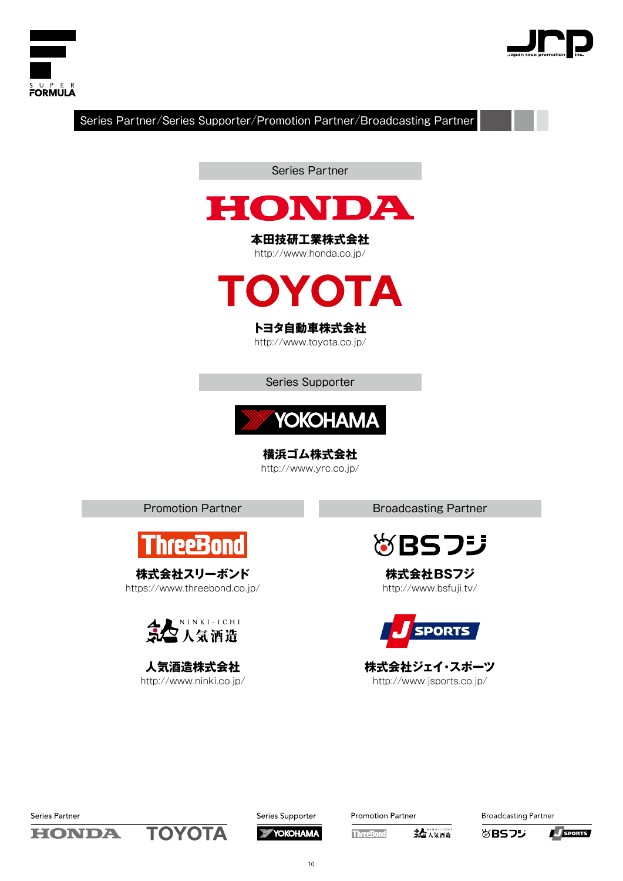



Series Partner/Series Supporter/Promotion Partner/Broadcasting Partner

Series Partner



**本田技研工業株式会社** http://www.honda.co.jp/



## **トヨタ自動車株式会社**

http://www.toyota.co.jp/

Series Supporter



**横浜ゴム株式会社** http://www.yrc.co.jp/



**株式会社スリーボンド** https://www.threebond.co.jp/



**人気酒造株式会社** http://www.ninki.co.jp/

Promotion Partner **Broadcasting Partner** 



**株式会社BSフジ** http://www.bsfuji.tv/



**株式会社ジェイ・スポーツ** http://www.jsports.co.jp/

Series Partner

HONDA

TOYOTA

Series Supporter **XXY YOKOHAMA**  Promotion Partner

5全人気洒造 **ThreeBond** 

**Broadcasting Partner** 

**&BSフジ** 

J SPORTS